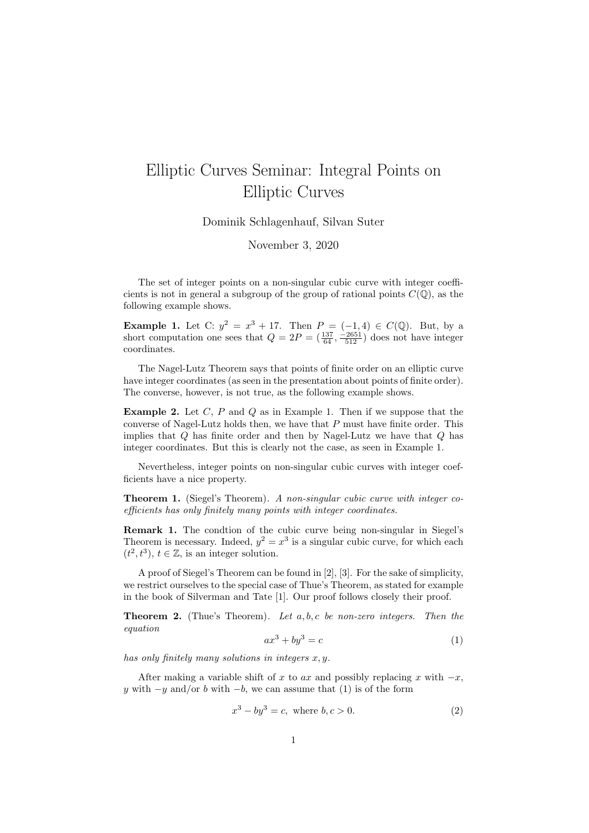## Elliptic Curves Seminar: Integral Points on Elliptic Curves

Dominik Schlagenhauf, Silvan Suter

November 3, 2020

The set of integer points on a non-singular cubic curve with integer coefficients is not in general a subgroup of the group of rational points  $C(\mathbb{Q})$ , as the following example shows.

**Example 1.** Let C:  $y^2 = x^3 + 17$ . Then  $P = (-1, 4) \in C(\mathbb{Q})$ . But, by a short computation one sees that  $Q = 2P = (\frac{137}{64}, \frac{-2651}{512})$  does not have integer coordinates.

The Nagel-Lutz Theorem says that points of finite order on an elliptic curve have integer coordinates (as seen in the presentation about points of finite order). The converse, however, is not true, as the following example shows.

**Example 2.** Let  $C$ ,  $P$  and  $Q$  as in Example 1. Then if we suppose that the converse of Nagel-Lutz holds then, we have that  $P$  must have finite order. This implies that  $Q$  has finite order and then by Nagel-Lutz we have that  $Q$  has integer coordinates. But this is clearly not the case, as seen in Example 1.

Nevertheless, integer points on non-singular cubic curves with integer coefficients have a nice property.

Theorem 1. (Siegel's Theorem). A non-singular cubic curve with integer coefficients has only finitely many points with integer coordinates.

Remark 1. The condtion of the cubic curve being non-singular in Siegel's Theorem is necessary. Indeed,  $y^2 = x^3$  is a singular cubic curve, for which each  $(t^2, t^3), t \in \mathbb{Z}$ , is an integer solution.

A proof of Siegel's Theorem can be found in [2], [3]. For the sake of simplicity, we restrict ourselves to the special case of Thue's Theorem, as stated for example in the book of Silverman and Tate [1]. Our proof follows closely their proof.

**Theorem 2.** (Thue's Theorem). Let  $a, b, c$  be non-zero integers. Then the equation

$$
ax^3 + by^3 = c \tag{1}
$$

has only finitely many solutions in integers  $x, y$ .

After making a variable shift of x to ax and possibly replacing x with  $-x$ , y with  $-y$  and/or b with  $-b$ , we can assume that (1) is of the form

$$
x^3 - by^3 = c, \text{ where } b, c > 0.
$$
 (2)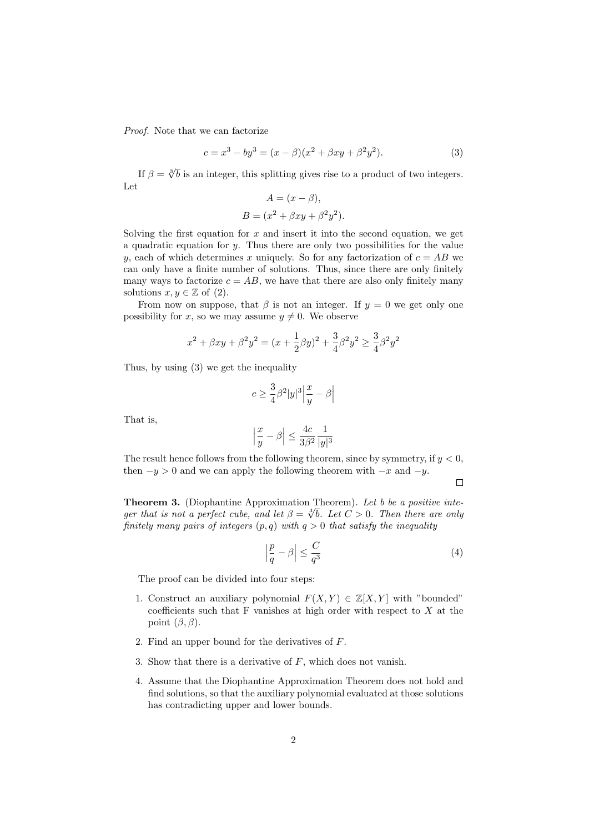Proof. Note that we can factorize

$$
c = x3 - by3 = (x - \beta)(x2 + \beta xy + \beta2y2). \t(3)
$$

If  $\beta = \sqrt[3]{b}$  is an integer, this splitting gives rise to a product of two integers. Let  $\overline{A}$  + (x +  $\overline{B}$ )

$$
A = (x - \beta),
$$
  

$$
B = (x^2 + \beta xy + \beta^2 y^2).
$$

Solving the first equation for  $x$  and insert it into the second equation, we get a quadratic equation for  $y$ . Thus there are only two possibilities for the value y, each of which determines x uniquely. So for any factorization of  $c = AB$  we can only have a finite number of solutions. Thus, since there are only finitely many ways to factorize  $c = AB$ , we have that there are also only finitely many solutions  $x, y \in \mathbb{Z}$  of (2).

From now on suppose, that  $\beta$  is not an integer. If  $y = 0$  we get only one possibility for x, so we may assume  $y \neq 0$ . We observe

$$
x^{2} + \beta xy + \beta^{2}y^{2} = (x + \frac{1}{2}\beta y)^{2} + \frac{3}{4}\beta^{2}y^{2} \ge \frac{3}{4}\beta^{2}y^{2}
$$

Thus, by using (3) we get the inequality

$$
c\geq \frac{3}{4}\beta^2|y|^3\Big|\frac{x}{y}-\beta\Big|
$$

That is,

$$
\left|\frac{x}{y}-\beta\right|\leq \frac{4c}{3\beta^2}\frac{1}{|y|^3}
$$

The result hence follows from the following theorem, since by symmetry, if  $y < 0$ , then  $-y > 0$  and we can apply the following theorem with  $-x$  and  $-y$ .

 $\Box$ 

**Theorem 3.** (Diophantine Approximation Theorem). Let b be a positive inte-<br>sum that is not a perfect with and let  $\beta = \frac{3L}{L} L L G > 0$ . Then there are wellger that is not a perfect cube, and let  $\beta = \sqrt[3]{b}$ . Let  $C > 0$ . Then there are only finitely many pairs of integers  $(p, q)$  with  $q > 0$  that satisfy the inequality

$$
\left|\frac{p}{q} - \beta\right| \le \frac{C}{q^3} \tag{4}
$$

The proof can be divided into four steps:

- 1. Construct an auxiliary polynomial  $F(X, Y) \in \mathbb{Z}[X, Y]$  with "bounded" coefficients such that  $F$  vanishes at high order with respect to  $X$  at the point  $(\beta, \beta)$ .
- 2. Find an upper bound for the derivatives of F.
- 3. Show that there is a derivative of  $F$ , which does not vanish.
- 4. Assume that the Diophantine Approximation Theorem does not hold and find solutions, so that the auxiliary polynomial evaluated at those solutions has contradicting upper and lower bounds.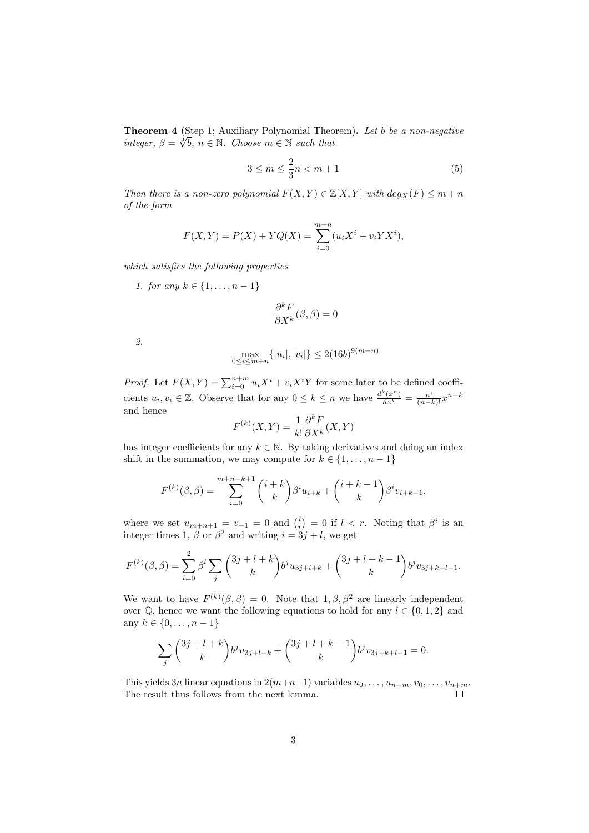**Theorem 4** (Step 1; Auxiliary Polynomial Theorem). Let b be a non-negative integer  $\frac{\partial}{\partial L}$  is  $\subset \mathbb{N}$ . Chassen  $\subset \mathbb{N}$  and that integer,  $\beta = \sqrt[3]{b}$ ,  $n \in \mathbb{N}$ . Choose  $m \in \mathbb{N}$  such that

$$
3 \le m \le \frac{2}{3}n < m+1 \tag{5}
$$

Then there is a non-zero polynomial  $F(X, Y) \in \mathbb{Z}[X, Y]$  with  $deg_X(F) \leq m+n$ of the form

$$
F(X,Y) = P(X) + YQ(X) = \sum_{i=0}^{m+n} (u_i X^i + v_i Y X^i),
$$

which satisfies the following properties

1. for any  $k \in \{1, ..., n-1\}$ 

$$
\frac{\partial^k F}{\partial X^k}(\beta,\beta) = 0
$$

2.

$$
\max_{0 \le i \le m+n} \{|u_i|, |v_i|\} \le 2(16b)^{9(m+n)}
$$

*Proof.* Let  $F(X, Y) = \sum_{i=0}^{n+m} u_i X^i + v_i X^i Y$  for some later to be defined coefficients  $u_i, v_i \in \mathbb{Z}$ . Observe that for any  $0 \le k \le n$  we have  $\frac{d^k(x^n)}{dx^k} = \frac{n!}{(n-k)!}x^{n-k}$ and hence

$$
F^{(k)}(X,Y) = \frac{1}{k!} \frac{\partial^k F}{\partial X^k}(X,Y)
$$

has integer coefficients for any  $k \in \mathbb{N}$ . By taking derivatives and doing an index shift in the summation, we may compute for  $k \in \{1, \ldots, n-1\}$ 

$$
F^{(k)}(\beta,\beta) = \sum_{i=0}^{m+n-k+1} {i+k \choose k} \beta^i u_{i+k} + {i+k-1 \choose k} \beta^i v_{i+k-1},
$$

where we set  $u_{m+n+1} = v_{-1} = 0$  and  $\binom{l}{r} = 0$  if  $l < r$ . Noting that  $\beta^i$  is an integer times 1,  $\beta$  or  $\beta^2$  and writing  $i = 3j + l$ , we get

$$
F^{(k)}(\beta,\beta) = \sum_{l=0}^{2} \beta^{l} \sum_{j} {3j+l+k \choose k} b^{j} u_{3j+l+k} + {3j+l+k-1 \choose k} b^{j} v_{3j+k+l-1}.
$$

We want to have  $F^{(k)}(\beta, \beta) = 0$ . Note that  $1, \beta, \beta^2$  are linearly independent over  $\mathbb{Q}$ , hence we want the following equations to hold for any  $l \in \{0, 1, 2\}$  and any  $k \in \{0, \ldots, n-1\}$ 

$$
\sum_{j} \binom{3j+l+k}{k} b^j u_{3j+l+k} + \binom{3j+l+k-1}{k} b^j v_{3j+k+l-1} = 0.
$$

This yields 3n linear equations in  $2(m+n+1)$  variables  $u_0, \ldots, u_{n+m}, v_0, \ldots, v_{n+m}$ . The result thus follows from the next lemma.  $\Box$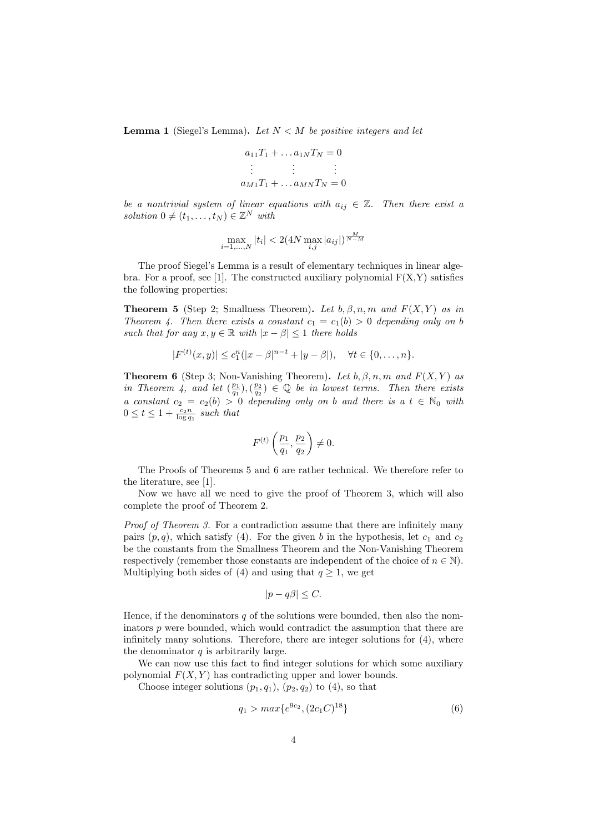**Lemma 1** (Siegel's Lemma). Let  $N < M$  be positive integers and let

$$
a_{11}T_1 + \dots a_{1N}T_N = 0
$$
  
\n
$$
\vdots \qquad \vdots \qquad \vdots
$$
  
\n
$$
a_{M1}T_1 + \dots a_{MN}T_N = 0
$$

be a nontrivial system of linear equations with  $a_{ij} \in \mathbb{Z}$ . Then there exist a solution  $0 \neq (t_1, \ldots, t_N) \in \mathbb{Z}^N$  with

$$
\max_{i=1,\dots,N} |t_i| < 2(4N \max_{i,j} |a_{ij}|)^{\frac{M}{N-M}}
$$

The proof Siegel's Lemma is a result of elementary techniques in linear algebra. For a proof, see [1]. The constructed auxiliary polynomial  $F(X,Y)$  satisfies the following properties:

**Theorem 5** (Step 2; Smallness Theorem). Let b,  $\beta$ , n, m and  $F(X, Y)$  as in Theorem 4. Then there exists a constant  $c_1 = c_1(b) > 0$  depending only on b such that for any  $x, y \in \mathbb{R}$  with  $|x - \beta| \leq 1$  there holds

$$
|F^{(t)}(x,y)| \le c_1^n(|x-\beta|^{n-t} + |y-\beta|), \quad \forall t \in \{0,\ldots,n\}.
$$

**Theorem 6** (Step 3; Non-Vanishing Theorem). Let  $b, \beta, n, m$  and  $F(X, Y)$  as in Theorem 4, and let  $(\frac{p_1}{q_1}),(\frac{p_2}{q_2}) \in \mathbb{Q}$  be in lowest terms. Then there exists a constant  $c_2 = c_2(b) > 0$  depending only on b and there is a  $t \in \mathbb{N}_0$  with  $0 \leq t \leq 1 + \frac{c_2 n}{\log q_1}$  such that

$$
F^{(t)}\left(\frac{p_1}{q_1},\frac{p_2}{q_2}\right) \neq 0.
$$

The Proofs of Theorems 5 and 6 are rather technical. We therefore refer to the literature, see [1].

Now we have all we need to give the proof of Theorem 3, which will also complete the proof of Theorem 2.

Proof of Theorem 3. For a contradiction assume that there are infinitely many pairs  $(p, q)$ , which satisfy (4). For the given b in the hypothesis, let  $c_1$  and  $c_2$ be the constants from the Smallness Theorem and the Non-Vanishing Theorem respectively (remember those constants are independent of the choice of  $n \in \mathbb{N}$ ). Multiplying both sides of (4) and using that  $q \geq 1$ , we get

$$
|p - q\beta| \le C.
$$

Hence, if the denominators  $q$  of the solutions were bounded, then also the nominators  $p$  were bounded, which would contradict the assumption that there are infinitely many solutions. Therefore, there are integer solutions for (4), where the denominator  $q$  is arbitrarily large.

We can now use this fact to find integer solutions for which some auxiliary polynomial  $F(X, Y)$  has contradicting upper and lower bounds.

Choose integer solutions  $(p_1, q_1)$ ,  $(p_2, q_2)$  to  $(4)$ , so that

$$
q_1 > max\{e^{9c_2}, (2c_1C)^{18}\}\tag{6}
$$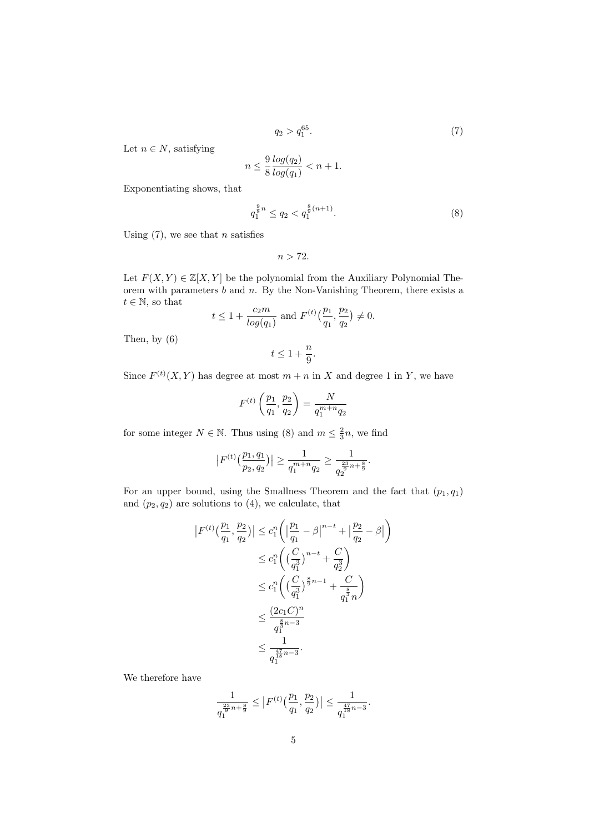$$
q_2 > q_1^{65}.\tag{7}
$$

Let  $n \in N$ , satisfying

$$
n \le \frac{9}{8} \frac{\log(q_2)}{\log(q_1)} < n+1.
$$

Exponentiating shows, that

$$
q_1^{\frac{9}{8}n} \le q_2 < q_1^{\frac{8}{9}(n+1)}.\tag{8}
$$

Using  $(7)$ , we see that *n* satisfies

$$
n>72.
$$

Let  $F(X, Y) \in \mathbb{Z}[X, Y]$  be the polynomial from the Auxiliary Polynomial Theorem with parameters  $b$  and  $n$ . By the Non-Vanishing Theorem, there exists a  $t \in \mathbb{N}$ , so that

$$
t \le 1 + \frac{c_2 m}{\log(q_1)}
$$
 and  $F^{(t)}(\frac{p_1}{q_1}, \frac{p_2}{q_2}) \ne 0$ .

Then, by (6)

$$
t\leq 1+\frac{n}{9}.
$$

Since  $F^{(t)}(X,Y)$  has degree at most  $m+n$  in X and degree 1 in Y, we have

$$
F^{(t)}\left(\frac{p_1}{q_1}, \frac{p_2}{q_2}\right) = \frac{N}{q_1^{m+n}q_2}
$$

for some integer  $N \in \mathbb{N}$ . Thus using (8) and  $m \leq \frac{2}{3}n$ , we find

$$
|F^{(t)}\left(\frac{p_1, q_1}{p_2, q_2}\right)| \ge \frac{1}{q_1^{m+n}q_2} \ge \frac{1}{q_2^{\frac{23}{9}n + \frac{8}{9}}}.
$$

For an upper bound, using the Smallness Theorem and the fact that  $(p_1, q_1)$ and  $(p_2, q_2)$  are solutions to  $(4)$ , we calculate, that

$$
|F^{(t)}(\frac{p_1}{q_1}, \frac{p_2}{q_2})| \leq c_1^n \left( \left| \frac{p_1}{q_1} - \beta \right|^{n-t} + \left| \frac{p_2}{q_2} - \beta \right| \right)
$$
  
\n
$$
\leq c_1^n \left( \left( \frac{C}{q_1^3} \right)^{n-t} + \frac{C}{q_2^3} \right)
$$
  
\n
$$
\leq c_1^n \left( \left( \frac{C}{q_1^3} \right)^{\frac{8}{9}n-1} + \frac{C}{q_1^{\frac{8}{3}}n} \right)
$$
  
\n
$$
\leq \frac{(2c_1C)^n}{q_1^{\frac{8}{3}n-3}}
$$
  
\n
$$
\leq \frac{1}{q_1^{\frac{47}{18}n-3}}.
$$

We therefore have

$$
\frac{1}{q_1^{\frac{23}{9}n+\frac{8}{9}}}\leq \big|F^{(t)}\big(\frac{p_1}{q_1},\frac{p_2}{q_2}\big)\big|\leq \frac{1}{q_1^{\frac{47}{18}n-3}}.
$$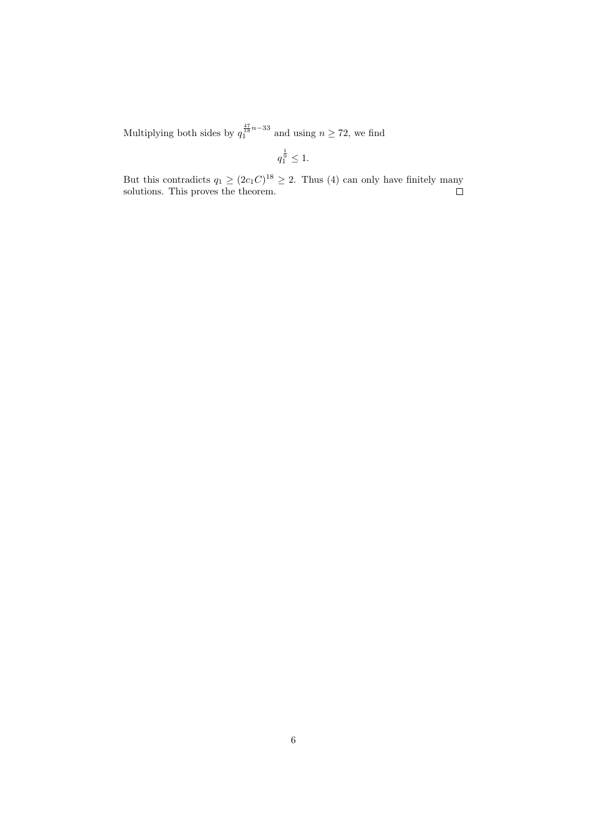Multiplying both sides by  $q_1^{\frac{47}{18}n-33}$  and using  $n \ge 72$ , we find

$$
q_1^{\frac{1}{9}} \leq 1.
$$

But this contradicts  $q_1 \geq (2c_1C)^{18} \geq 2$ . Thus (4) can only have finitely many solutions. This proves the theorem.